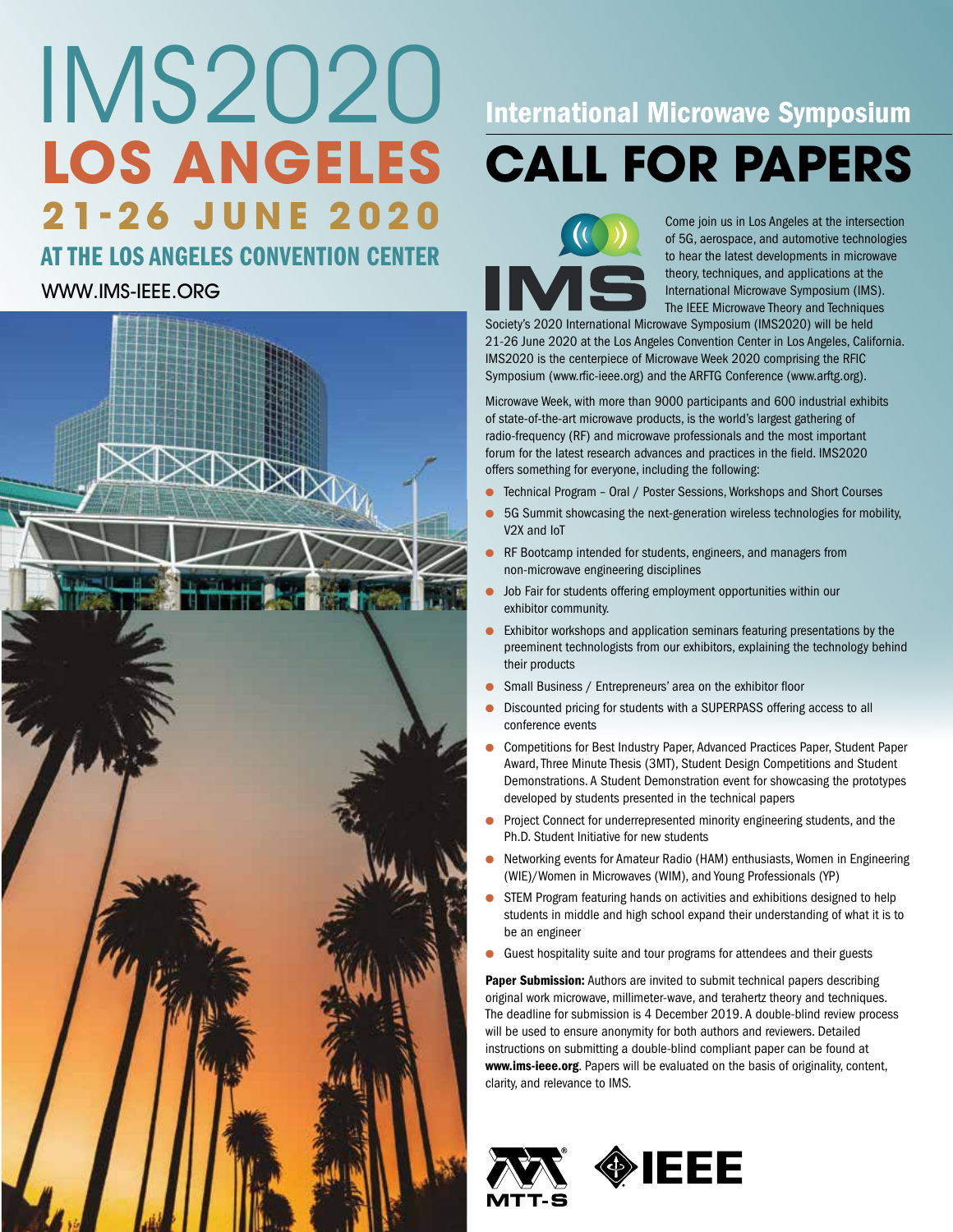# IMS2020 **LOS ANGELES 21-26 JUNE 2020**

## AT THE LOS ANGELES CONVENTION CENTER

## [WWW.IMS-IEEE.ORG](http://www.ims-ieee.org)



## International Microwave Symposium **CALL FOR PAPERS**

Come join us in Los Angeles at the intersection of 5G, aerospace, and automotive technologies to hear the latest developments in microwave theory, techniques, and applications at the International Microwave Symposium (IMS). The IEEE Microwave Theory and Techniques

Society's 2020 International Microwave Symposium (IMS2020) will be held 21-26 June 2020 at the Los Angeles Convention Center in Los Angeles, California. IMS2020 is the centerpiece of Microwave Week 2020 comprising the RFIC Symposium [\(www.rfic-ieee.org\)](http://www.rfic-ieee.org) and the ARFTG Conference [\(www.arftg.org](http://www.arftg.org)).

Microwave Week, with more than 9000 participants and 600 industrial exhibits of state-of-the-art microwave products, is the world's largest gathering of radio-frequency (RF) and microwave professionals and the most important forum for the latest research advances and practices in the field. IMS2020 offers something for everyone, including the following:

- Technical Program Oral / Poster Sessions, Workshops and Short Courses
- 5G Summit showcasing the next-generation wireless technologies for mobility, V2X and IoT
- RF Bootcamp intended for students, engineers, and managers from non-microwave engineering disciplines
- Job Fair for students offering employment opportunities within our exhibitor community.
- Exhibitor workshops and application seminars featuring presentations by the preeminent technologists from our exhibitors, explaining the technology behind their products
- Small Business / Entrepreneurs' area on the exhibitor floor
- Discounted pricing for students with a SUPERPASS offering access to all conference events
- Competitions for Best Industry Paper, Advanced Practices Paper, Student Paper Award, Three Minute Thesis (3MT), Student Design Competitions and Student Demonstrations. A Student Demonstration event for showcasing the prototypes developed by students presented in the technical papers
- Project Connect for underrepresented minority engineering students, and the Ph.D. Student Initiative for new students
- Networking events for Amateur Radio (HAM) enthusiasts, Women in Engineering (WIE)/Women in Microwaves (WIM), and Young Professionals (YP)
- STEM Program featuring hands on activities and exhibitions designed to help students in middle and high school expand their understanding of what it is to be an engineer
- Guest hospitality suite and tour programs for attendees and their guests

Paper Submission: Authors are invited to submit technical papers describing original work microwave, millimeter-wave, and terahertz theory and techniques. The deadline for submission is 4 December 2019. A double-blind review process will be used to ensure anonymity for both authors and reviewers. Detailed instructions on submitting a double-blind compliant paper can be found at [www.ims-ieee.org](http://www.ims-ieee.org). Papers will be evaluated on the basis of originality, content, clarity, and relevance to IMS.



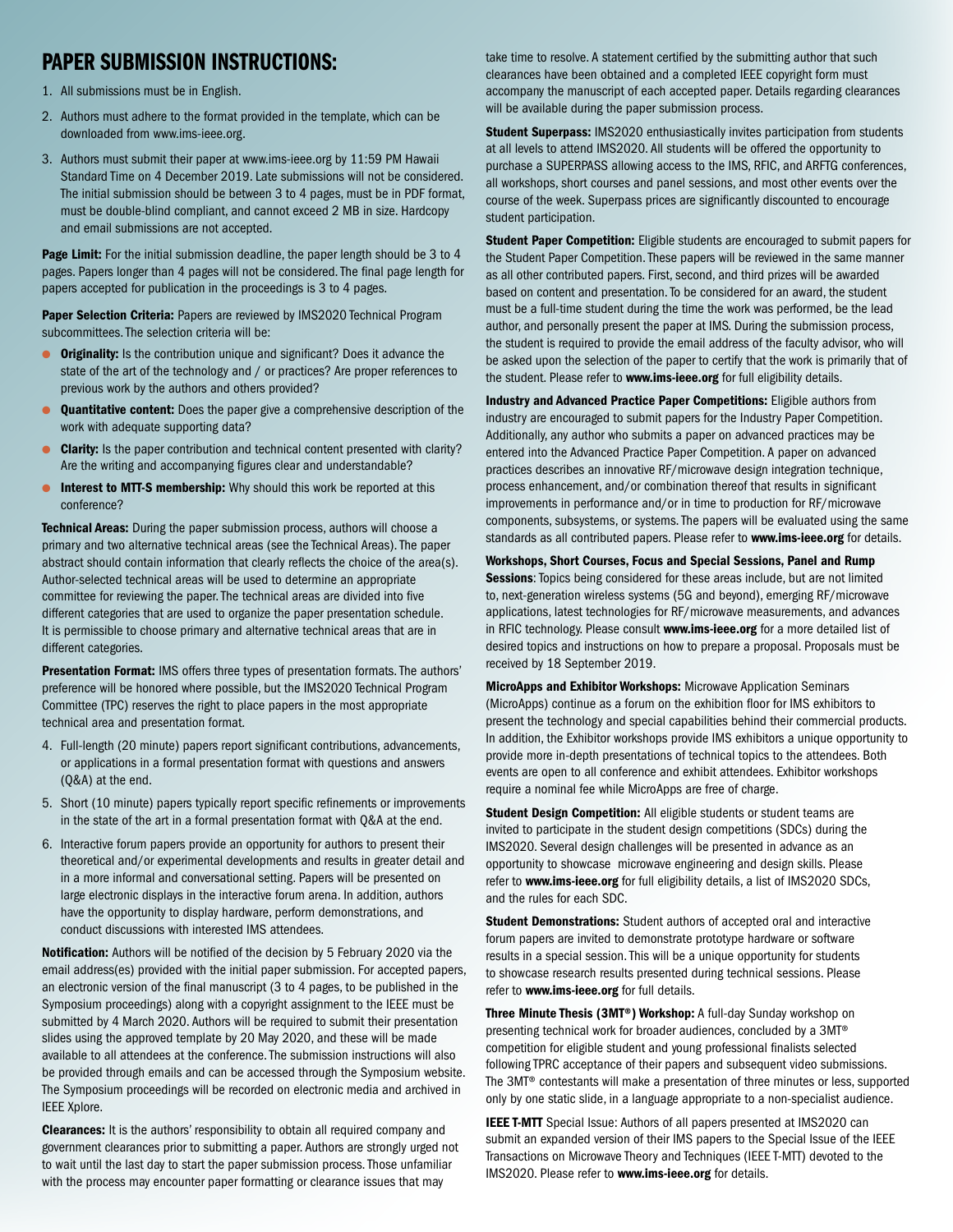## PAPER SUBMISSION INSTRUCTIONS:

- 1. All submissions must be in English.
- 2. Authors must adhere to the format provided in the template, which can be downloaded fro[m www.ims-ieee.org.](http:// www.ims-ieee.org)
- 3. Authors must submit their paper at [www.ims-ieee.org](http://www.ims-ieee.org) by 11:59 PM Hawaii Standard Time on 4 December 2019. Late submissions will not be considered. The initial submission should be between 3 to 4 pages, must be in PDF format, must be double-blind compliant, and cannot exceed 2 MB in size. Hardcopy and email submissions are not accepted.

Page Limit: For the initial submission deadline, the paper length should be 3 to 4 pages. Papers longer than 4 pages will not be considered. The final page length for papers accepted for publication in the proceedings is 3 to 4 pages.

Paper Selection Criteria: Papers are reviewed by IMS2020 Technical Program subcommittees. The selection criteria will be:

- **Originality:** Is the contribution unique and significant? Does it advance the state of the art of the technology and / or practices? Are proper references to previous work by the authors and others provided?
- **Quantitative content:** Does the paper give a comprehensive description of the work with adequate supporting data?
- **Clarity:** Is the paper contribution and technical content presented with clarity? Are the writing and accompanying figures clear and understandable?
- **.** Interest to MTT-S membership: Why should this work be reported at this conference?

Technical Areas: During the paper submission process, authors will choose a primary and two alternative technical areas (see the Technical Areas). The paper abstract should contain information that clearly reflects the choice of the area(s). Author-selected technical areas will be used to determine an appropriate committee for reviewing the paper. The technical areas are divided into five different categories that are used to organize the paper presentation schedule. It is permissible to choose primary and alternative technical areas that are in different categories.

Presentation Format: IMS offers three types of presentation formats. The authors' preference will be honored where possible, but the IMS2020 Technical Program Committee (TPC) reserves the right to place papers in the most appropriate technical area and presentation format.

- 4. Full-length (20 minute) papers report significant contributions, advancements, or applications in a formal presentation format with questions and answers (Q&A) at the end.
- 5. Short (10 minute) papers typically report specific refinements or improvements in the state of the art in a formal presentation format with Q&A at the end.
- 6. Interactive forum papers provide an opportunity for authors to present their theoretical and/or experimental developments and results in greater detail and in a more informal and conversational setting. Papers will be presented on large electronic displays in the interactive forum arena. In addition, authors have the opportunity to display hardware, perform demonstrations, and conduct discussions with interested IMS attendees.

Notification: Authors will be notified of the decision by 5 February 2020 via the email address(es) provided with the initial paper submission. For accepted papers, an electronic version of the final manuscript (3 to 4 pages, to be published in the Symposium proceedings) along with a copyright assignment to the IEEE must be submitted by 4 March 2020. Authors will be required to submit their presentation slides using the approved template by 20 May 2020, and these will be made available to all attendees at the conference. The submission instructions will also be provided through emails and can be accessed through the Symposium website. The Symposium proceedings will be recorded on electronic media and archived in IEEE Xplore.

Clearances: It is the authors' responsibility to obtain all required company and government clearances prior to submitting a paper. Authors are strongly urged not to wait until the last day to start the paper submission process. Those unfamiliar with the process may encounter paper formatting or clearance issues that may

take time to resolve. A statement certified by the submitting author that such clearances have been obtained and a completed IEEE copyright form must accompany the manuscript of each accepted paper. Details regarding clearances will be available during the paper submission process.

**Student Superpass: IMS2020 enthusiastically invites participation from students** at all levels to attend IMS2020. All students will be offered the opportunity to purchase a SUPERPASS allowing access to the IMS, RFIC, and ARFTG conferences, all workshops, short courses and panel sessions, and most other events over the course of the week. Superpass prices are significantly discounted to encourage student participation.

Student Paper Competition: Eligible students are encouraged to submit papers for the Student Paper Competition. These papers will be reviewed in the same manner as all other contributed papers. First, second, and third prizes will be awarded based on content and presentation. To be considered for an award, the student must be a full-time student during the time the work was performed, be the lead author, and personally present the paper at IMS. During the submission process, the student is required to provide the email address of the faculty advisor, who will be asked upon the selection of the paper to certify that the work is primarily that of the student. Please refer to [www.ims-ieee.org](http://www.ims-ieee.org) for full eligibility details.

Industry and Advanced Practice Paper Competitions: Eligible authors from industry are encouraged to submit papers for the Industry Paper Competition. Additionally, any author who submits a paper on advanced practices may be entered into the Advanced Practice Paper Competition. A paper on advanced practices describes an innovative RF/microwave design integration technique, process enhancement, and/or combination thereof that results in significant improvements in performance and/or in time to production for RF/microwave components, subsystems, or systems. The papers will be evaluated using the same standards as all contributed papers. Please refer to [www.ims-ieee.org](http://www.ims-ieee.org) for details.

Workshops, Short Courses, Focus and Special Sessions, Panel and Rump **Sessions:** Topics being considered for these areas include, but are not limited to, next-generation wireless systems (5G and beyond), emerging RF/microwave applications, latest technologies for RF/microwave measurements, and advances in RFIC technology. Please consult [www.ims-ieee.org](http://www.ims-ieee.org) for a more detailed list of desired topics and instructions on how to prepare a proposal. Proposals must be received by 18 September 2019.

MicroApps and Exhibitor Workshops: Microwave Application Seminars (MicroApps) continue as a forum on the exhibition floor for IMS exhibitors to present the technology and special capabilities behind their commercial products. In addition, the Exhibitor workshops provide IMS exhibitors a unique opportunity to provide more in-depth presentations of technical topics to the attendees. Both events are open to all conference and exhibit attendees. Exhibitor workshops require a nominal fee while MicroApps are free of charge.

Student Design Competition: All eligible students or student teams are invited to participate in the student design competitions (SDCs) during the IMS2020. Several design challenges will be presented in advance as an opportunity to showcase microwave engineering and design skills. Please refer to [www.ims-ieee.org](http://www.ims-ieee.org) for full eligibility details, a list of IMS2020 SDCs, and the rules for each SDC.

Student Demonstrations: Student authors of accepted oral and interactive forum papers are invited to demonstrate prototype hardware or software results in a special session. This will be a unique opportunity for students to showcase research results presented during technical sessions. Please refer to [www.ims-ieee.org](http://www.ims-ieee.org) for full details.

Three Minute Thesis (3MT®) Workshop: A full-day Sunday workshop on presenting technical work for broader audiences, concluded by a 3MT® competition for eligible student and young professional finalists selected following TPRC acceptance of their papers and subsequent video submissions. The 3MT® contestants will make a presentation of three minutes or less, supported only by one static slide, in a language appropriate to a non-specialist audience.

IEEE T-MTT Special Issue: Authors of all papers presented at IMS2020 can submit an expanded version of their IMS papers to the Special Issue of the IEEE Transactions on Microwave Theory and Techniques (IEEE T-MTT) devoted to the IMS2020. Please refer to [www.ims-ieee.org](http://www.ims-ieee.org) for details.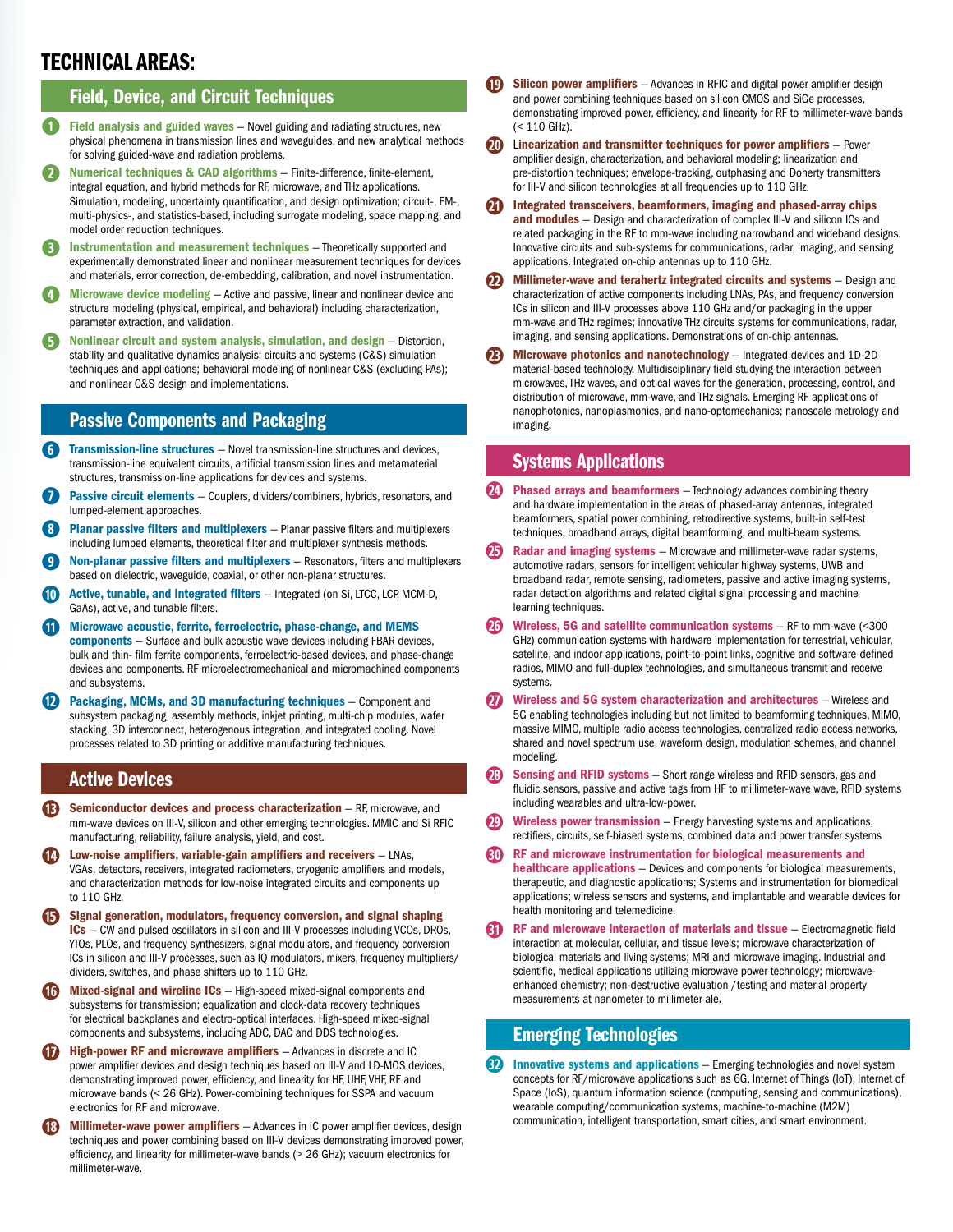## TECHNICAL AREAS:

#### Field, Device, and Circuit Techniques

- **q** Field analysis and guided waves Novel guiding and radiating structures, new physical phenomena in transmission lines and waveguides, and new analytical methods for solving guided-wave and radiation problems.
- **Numerical techniques & CAD algorithms** Finite-difference, finite-element, integral equation, and hybrid methods for RF, microwave, and THz applications. Simulation, modeling, uncertainty quantification, and design optimization; circuit-, EM-, multi-physics-, and statistics-based, including surrogate modeling, space mapping, and model order reduction techniques.
- **e** Instrumentation and measurement techniques Theoretically supported and experimentally demonstrated linear and nonlinear measurement techniques for devices and materials, error correction, de-embedding, calibration, and novel instrumentation.
- **Microwave device modeling** Active and passive, linear and nonlinear device and structure modeling (physical, empirical, and behavioral) including characterization, parameter extraction, and validation.
- **the Nonlinear circuit and system analysis, simulation, and design** Distortion, stability and qualitative dynamics analysis; circuits and systems (C&S) simulation techniques and applications; behavioral modeling of nonlinear C&S (excluding PAs); and nonlinear C&S design and implementations.

#### Passive Components and Packaging

- *f* Transmission-line structures Novel transmission-line structures and devices, transmission-line equivalent circuits, artificial transmission lines and metamaterial structures, transmission-line applications for devices and systems.
- Passive circuit elements Couplers, dividers/combiners, hybrids, resonators, and lumped-element approaches.
- **Planar passive filters and multiplexers** Planar passive filters and multiplexers including lumped elements, theoretical filter and multiplexer synthesis methods.
- **Non-planar passive filters and multiplexers** Resonators, filters and multiplexers based on dielectric, waveguide, coaxial, or other non-planar structures.
- Active, tunable, and integrated filters Integrated (on Si, LTCC, LCP, MCM-D, GaAs), active, and tunable filters.
- **s** Microwave acoustic, ferrite, ferroelectric, phase-change, and MEMS components - Surface and bulk acoustic wave devices including FBAR devices, bulk and thin- film ferrite components, ferroelectric-based devices, and phase-change devices and components. RF microelectromechanical and micromachined components and subsystems.
- Packaging, MCMs, and 3D manufacturing techniques Component and subsystem packaging, assembly methods, inkjet printing, multi-chip modules, wafer stacking, 3D interconnect, heterogenous integration, and integrated cooling. Novel processes related to 3D printing or additive manufacturing techniques.

#### Active Devices

- **1** Semiconductor devices and process characterization RF, microwave, and mm-wave devices on III-V, silicon and other emerging technologies. MMIC and Si RFIC manufacturing, reliability, failure analysis, yield, and cost.
- **Low-noise amplifiers, variable-gain amplifiers and receivers LNAs,** VGAs, detectors, receivers, integrated radiometers, cryogenic amplifiers and models, and characterization methods for low-noise integrated circuits and components up to 110 GHz.
- **h** Signal generation, modulators, frequency conversion, and signal shaping ICs — CW and pulsed oscillators in silicon and III-V processes including VCOs, DROs, YTOs, PLOs, and frequency synthesizers, signal modulators, and frequency conversion ICs in silicon and III-V processes, such as IQ modulators, mixers, frequency multipliers/ dividers, switches, and phase shifters up to 110 GHz.
- **Mixed-signal and wireline ICs** High-speed mixed-signal components and subsystems for transmission; equalization and clock-data recovery techniques for electrical backplanes and electro-optical interfaces. High-speed mixed-signal components and subsystems, including ADC, DAC and DDS technologies.
- **1** High-power RF and microwave amplifiers Advances in discrete and IC power amplifier devices and design techniques based on III-V and LD-MOS devices, demonstrating improved power, efficiency, and linearity for HF, UHF, VHF, RF and microwave bands (< 26 GHz). Power-combining techniques for SSPA and vacuum electronics for RF and microwave.
- **Millimeter-wave power amplifiers** Advances in IC power amplifier devices, design techniques and power combining based on III-V devices demonstrating improved power, efficiency, and linearity for millimeter-wave bands (> 26 GHz); vacuum electronics for millimeter-wave.
- **Silicon power amplifiers** Advances in RFIC and digital power amplifier design and power combining techniques based on silicon CMOS and SiGe processes, demonstrating improved power, efficiency, and linearity for RF to millimeter-wave bands (< 110 GHz).
- **20)** Linearization and transmitter techniques for power amplifiers Power amplifier design, characterization, and behavioral modeling; linearization and pre-distortion techniques; envelope-tracking, outphasing and Doherty transmitters for III-V and silicon technologies at all frequencies up to 110 GHz.
- **2!** Integrated transceivers, beamformers, imaging and phased-array chips and modules - Design and characterization of complex III-V and silicon ICs and related packaging in the RF to mm-wave including narrowband and wideband designs. Innovative circuits and sub-systems for communications, radar, imaging, and sensing applications. Integrated on-chip antennas up to 110 GHz.
- **20** Millimeter-wave and terahertz integrated circuits and systems Design and characterization of active components including LNAs, PAs, and frequency conversion ICs in silicon and III-V processes above 110 GHz and/or packaging in the upper mm-wave and THz regimes; innovative THz circuits systems for communications, radar, imaging, and sensing applications. Demonstrations of on-chip antennas.
- **Microwave photonics and nanotechnology Integrated devices and 1D-2D** material-based technology. Multidisciplinary field studying the interaction between microwaves, THz waves, and optical waves for the generation, processing, control, and distribution of microwave, mm-wave, and THz signals. Emerging RF applications of nanophotonics, nanoplasmonics, and nano-optomechanics; nanoscale metrology and imaging.

#### Systems Applications

- **23** Phased arrays and beamformers Technology advances combining theory and hardware implementation in the areas of phased-array antennas, integrated beamformers, spatial power combining, retrodirective systems, built-in self-test techniques, broadband arrays, digital beamforming, and multi-beam systems.
- **Radar and imaging systems** Microwave and millimeter-wave radar systems, automotive radars, sensors for intelligent vehicular highway systems, UWB and broadband radar, remote sensing, radiometers, passive and active imaging systems, radar detection algorithms and related digital signal processing and machine learning techniques.
- **Wireless, 5G and satellite communication systems RF to mm-wave (<300)** GHz) communication systems with hardware implementation for terrestrial, vehicular, satellite, and indoor applications, point-to-point links, cognitive and software-defined radios, MIMO and full-duplex technologies, and simultaneous transmit and receive systems.
- **2&** Wireless and 5G system characterization and architectures Wireless and 5G enabling technologies including but not limited to beamforming techniques, MIMO, massive MIMO, multiple radio access technologies, centralized radio access networks, shared and novel spectrum use, waveform design, modulation schemes, and channel modeling.
- **Sensing and RFID systems** Short range wireless and RFID sensors, gas and fluidic sensors, passive and active tags from HF to millimeter-wave wave, RFID systems including wearables and ultra-low-power.
- **Wireless power transmission** Energy harvesting systems and applications, rectifiers, circuits, self-biased systems, combined data and power transfer systems
- **3)** RF and microwave instrumentation for biological measurements and healthcare applications — Devices and components for biological measurements, therapeutic, and diagnostic applications; Systems and instrumentation for biomedical applications; wireless sensors and systems, and implantable and wearable devices for health monitoring and telemedicine.
- **3. RF and microwave interaction of materials and tissue Electromagnetic field** interaction at molecular, cellular, and tissue levels; microwave characterization of biological materials and living systems; MRI and microwave imaging. Industrial and scientific, medical applications utilizing microwave power technology; microwaveenhanced chemistry; non-destructive evaluation /testing and material property measurements at nanometer to millimeter ale.

#### Emerging Technologies

**3. Innovative systems and applications** – Emerging technologies and novel system concepts for RF/microwave applications such as 6G, Internet of Things (IoT), Internet of Space (IoS), quantum information science (computing, sensing and communications), wearable computing/communication systems, machine-to-machine (M2M) communication, intelligent transportation, smart cities, and smart environment.